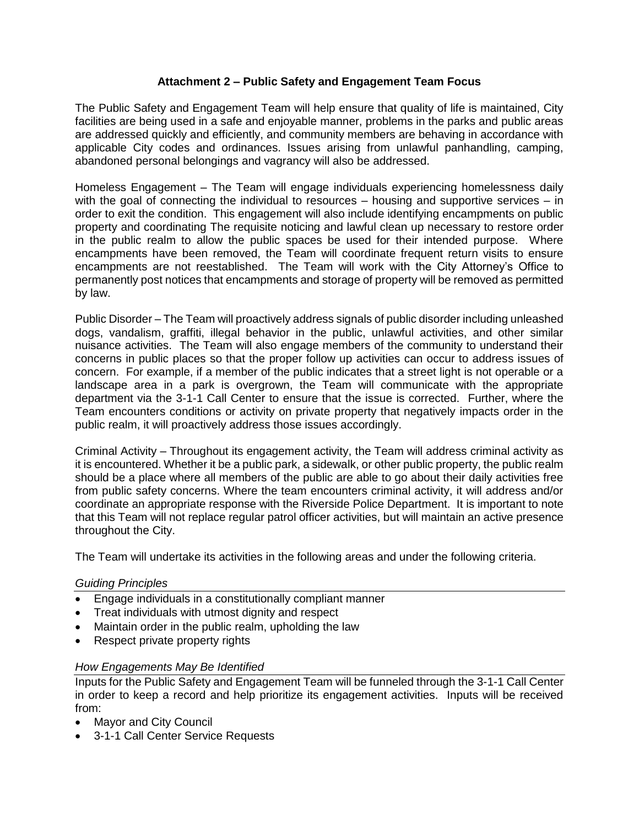## **Attachment 2 – Public Safety and Engagement Team Focus**

The Public Safety and Engagement Team will help ensure that quality of life is maintained, City facilities are being used in a safe and enjoyable manner, problems in the parks and public areas are addressed quickly and efficiently, and community members are behaving in accordance with applicable City codes and ordinances. Issues arising from unlawful panhandling, camping, abandoned personal belongings and vagrancy will also be addressed.

Homeless Engagement – The Team will engage individuals experiencing homelessness daily with the goal of connecting the individual to resources – housing and supportive services – in order to exit the condition. This engagement will also include identifying encampments on public property and coordinating The requisite noticing and lawful clean up necessary to restore order in the public realm to allow the public spaces be used for their intended purpose. Where encampments have been removed, the Team will coordinate frequent return visits to ensure encampments are not reestablished. The Team will work with the City Attorney's Office to permanently post notices that encampments and storage of property will be removed as permitted by law.

Public Disorder – The Team will proactively address signals of public disorder including unleashed dogs, vandalism, graffiti, illegal behavior in the public, unlawful activities, and other similar nuisance activities. The Team will also engage members of the community to understand their concerns in public places so that the proper follow up activities can occur to address issues of concern. For example, if a member of the public indicates that a street light is not operable or a landscape area in a park is overgrown, the Team will communicate with the appropriate department via the 3-1-1 Call Center to ensure that the issue is corrected. Further, where the Team encounters conditions or activity on private property that negatively impacts order in the public realm, it will proactively address those issues accordingly.

Criminal Activity – Throughout its engagement activity, the Team will address criminal activity as it is encountered. Whether it be a public park, a sidewalk, or other public property, the public realm should be a place where all members of the public are able to go about their daily activities free from public safety concerns. Where the team encounters criminal activity, it will address and/or coordinate an appropriate response with the Riverside Police Department. It is important to note that this Team will not replace regular patrol officer activities, but will maintain an active presence throughout the City.

The Team will undertake its activities in the following areas and under the following criteria.

## *Guiding Principles*

- Engage individuals in a constitutionally compliant manner
- Treat individuals with utmost dignity and respect
- Maintain order in the public realm, upholding the law
- Respect private property rights

## *How Engagements May Be Identified*

Inputs for the Public Safety and Engagement Team will be funneled through the 3-1-1 Call Center in order to keep a record and help prioritize its engagement activities. Inputs will be received from:

- Mayor and City Council
- 3-1-1 Call Center Service Requests